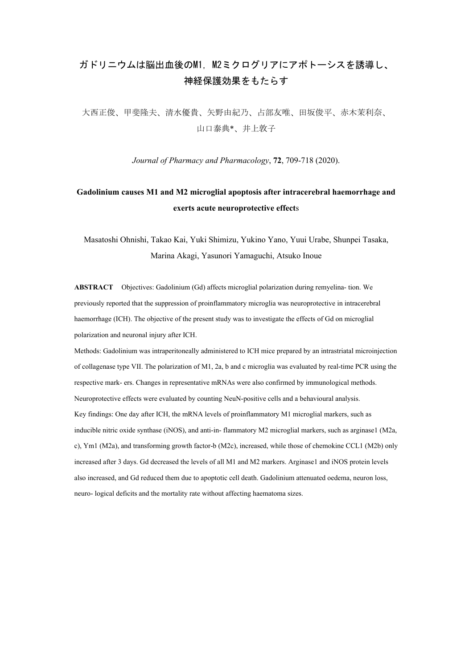## ガドリニウムは脳出血後のM1, M2ミクログリアにアポトーシスを誘導し、 神経保護効果をもたらす

大西正俊、甲斐隆夫、清水優貴、矢野由紀乃、占部友唯、田坂俊平、赤木茉利奈、 山口泰典\*、井上敦子

*Journal of Pharmacy and Pharmacology*, **72**, 709-718 (2020).

## **Gadolinium causes M1 and M2 microglial apoptosis after intracerebral haemorrhage and exerts acute neuroprotective effect**s

Masatoshi Ohnishi, Takao Kai, Yuki Shimizu, Yukino Yano, Yuui Urabe, Shunpei Tasaka, Marina Akagi, Yasunori Yamaguchi, Atsuko Inoue

**ABSTRACT** Objectives: Gadolinium (Gd) affects microglial polarization during remyelina- tion. We previously reported that the suppression of proinflammatory microglia was neuroprotective in intracerebral haemorrhage (ICH). The objective of the present study was to investigate the effects of Gd on microglial polarization and neuronal injury after ICH.

Methods: Gadolinium was intraperitoneally administered to ICH mice prepared by an intrastriatal microinjection of collagenase type VII. The polarization of M1, 2a, b and c microglia was evaluated by real-time PCR using the respective mark- ers. Changes in representative mRNAs were also confirmed by immunological methods. Neuroprotective effects were evaluated by counting NeuN-positive cells and a behavioural analysis. Key findings: One day after ICH, the mRNA levels of proinflammatory M1 microglial markers, such as inducible nitric oxide synthase (iNOS), and anti-in- flammatory M2 microglial markers, such as arginase1 (M2a, c), Ym1 (M2a), and transforming growth factor-b (M2c), increased, while those of chemokine CCL1 (M2b) only increased after 3 days. Gd decreased the levels of all M1 and M2 markers. Arginase1 and iNOS protein levels also increased, and Gd reduced them due to apoptotic cell death. Gadolinium attenuated oedema, neuron loss, neuro- logical deficits and the mortality rate without affecting haematoma sizes.